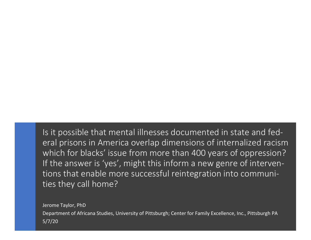Is it possible that mental illnesses documented in state and federal prisons in America overlap dimensions of internalized racism which for blacks' issue from more than 400 years of oppression? If the answer is 'yes', might this inform a new genre of interventions that enable more successful reintegration into communities they call home?

Jerome Taylor, PhD Department of Africana Studies, University of Pittsburgh; Center for Family Excellence, Inc., Pittsburgh PA 5/7/20